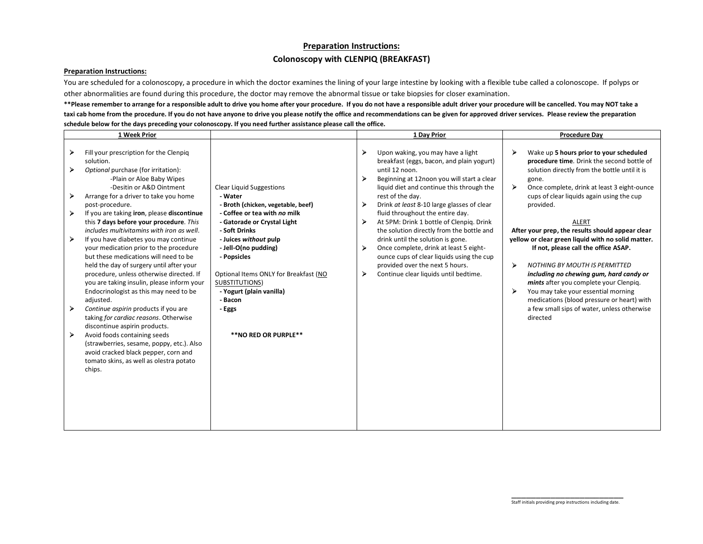## **Preparation Instructions: Colonoscopy with CLENPIQ (BREAKFAST)**

## **Preparation Instructions:**

You are scheduled for a colonoscopy, a procedure in which the doctor examines the lining of your large intestine by looking with a flexible tube called a colonoscope. If polyps or other abnormalities are found during this procedure, the doctor may remove the abnormal tissue or take biopsies for closer examination.

\*\*Please remember to arrange for a responsible adult to drive you home after your procedure. If you do not have a responsible adult driver your procedure will be cancelled. You may NOT take a **taxi cab home from the procedure. If you do not have anyone to drive you please notify the office and recommendations can be given for approved driver services. Please review the preparation schedule below for the days preceding your colonoscopy. If you need further assistance please call the office.**

| 1 Week Prior                                                                                                                                                                                                                                                                                                                                                                                                                                                                                                                                                                                                                                                                                                                                                                                                                                                                                                                                                               |                                                                                                                                                                                                                                                                                                                                                                      | 1 Day Prior                                                                                                                                                                                                                                                                                                                                                                                                                                                                                                                                                                                                                      | <b>Procedure Day</b>                                                                                                                                                                                                                                                                                                                                                                                                                                                                                                                                                                                                                                                                                              |
|----------------------------------------------------------------------------------------------------------------------------------------------------------------------------------------------------------------------------------------------------------------------------------------------------------------------------------------------------------------------------------------------------------------------------------------------------------------------------------------------------------------------------------------------------------------------------------------------------------------------------------------------------------------------------------------------------------------------------------------------------------------------------------------------------------------------------------------------------------------------------------------------------------------------------------------------------------------------------|----------------------------------------------------------------------------------------------------------------------------------------------------------------------------------------------------------------------------------------------------------------------------------------------------------------------------------------------------------------------|----------------------------------------------------------------------------------------------------------------------------------------------------------------------------------------------------------------------------------------------------------------------------------------------------------------------------------------------------------------------------------------------------------------------------------------------------------------------------------------------------------------------------------------------------------------------------------------------------------------------------------|-------------------------------------------------------------------------------------------------------------------------------------------------------------------------------------------------------------------------------------------------------------------------------------------------------------------------------------------------------------------------------------------------------------------------------------------------------------------------------------------------------------------------------------------------------------------------------------------------------------------------------------------------------------------------------------------------------------------|
| Fill your prescription for the Clenpiq<br>solution.<br>Optional purchase (for irritation):<br>-Plain or Aloe Baby Wipes<br>-Desitin or A&D Ointment<br>Arrange for a driver to take you home<br>post-procedure.<br>If you are taking iron, please discontinue<br>this 7 days before your procedure. This<br>includes multivitamins with iron as well.<br>If you have diabetes you may continue<br>your medication prior to the procedure<br>but these medications will need to be<br>held the day of surgery until after your<br>procedure, unless otherwise directed. If<br>you are taking insulin, please inform your<br>Endocrinologist as this may need to be<br>adjusted.<br>Continue aspirin products if you are<br>taking for cardiac reasons. Otherwise<br>discontinue aspirin products.<br>Avoid foods containing seeds<br>(strawberries, sesame, poppy, etc.). Also<br>avoid cracked black pepper, corn and<br>tomato skins, as well as olestra potato<br>chips. | <b>Clear Liquid Suggestions</b><br>- Water<br>- Broth (chicken, vegetable, beef)<br>- Coffee or tea with no milk<br>- Gatorade or Crystal Light<br>- Soft Drinks<br>- Juices without pulp<br>- Jell-O(no pudding)<br>- Popsicles<br>Optional Items ONLY for Breakfast (NO<br>SUBSTITUTIONS)<br>- Yogurt (plain vanilla)<br>- Bacon<br>- Eggs<br>**NO RED OR PURPLE** | ⋗<br>Upon waking, you may have a light<br>breakfast (eggs, bacon, and plain yogurt)<br>until 12 noon.<br>⋗<br>Beginning at 12noon you will start a clear<br>liquid diet and continue this through the<br>rest of the day.<br>⋗<br>Drink at least 8-10 large glasses of clear<br>fluid throughout the entire day.<br>At 5PM: Drink 1 bottle of Clenpig. Drink<br>➤<br>the solution directly from the bottle and<br>drink until the solution is gone.<br>⋗<br>Once complete, drink at least 5 eight-<br>ounce cups of clear liquids using the cup<br>provided over the next 5 hours.<br>⋗<br>Continue clear liquids until bedtime. | Wake up 5 hours prior to your scheduled<br>procedure time. Drink the second bottle of<br>solution directly from the bottle until it is<br>gone.<br>Once complete, drink at least 3 eight-ounce<br>cups of clear liquids again using the cup<br>provided.<br><b>ALERT</b><br>After your prep, the results should appear clear<br>yellow or clear green liquid with no solid matter.<br>If not, please call the office ASAP.<br>⋗<br><b>NOTHING BY MOUTH IS PERMITTED</b><br>including no chewing gum, hard candy or<br>mints after you complete your Clenpiq.<br>You may take your essential morning<br>⋗<br>medications (blood pressure or heart) with<br>a few small sips of water, unless otherwise<br>directed |